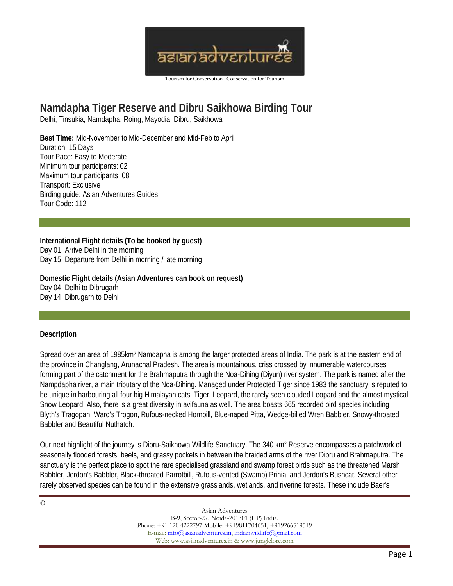

# **Namdapha Tiger Reserve and Dibru Saikhowa Birding Tour** Delhi, Tinsukia, Namdapha, Roing, Mayodia, Dibru, Saikhowa

**Best Time:** Mid-November to Mid-December and Mid-Feb to April Duration: 15 Days Tour Pace: Easy to Moderate Minimum tour participants: 02 Maximum tour participants: 08 Transport: Exclusive Birding guide: Asian Adventures Guides Tour Code: 112

**International Flight details (To be booked by guest)** Day 01: Arrive Delhi in the morning Day 15: Departure from Delhi in morning / late morning

**Domestic Flight details (Asian Adventures can book on request)** Day 04: Delhi to Dibrugarh Day 14: Dibrugarh to Delhi

### **Description**

Spread over an area of 1985km<sup>2</sup> Namdapha is among the larger protected areas of India. The park is at the eastern end of the province in Changlang, Arunachal Pradesh. The area is mountainous, criss crossed by innumerable watercourses forming part of the catchment for the Brahmaputra through the Noa-Dihing (Diyun) river system. The park is named after the Nampdapha river, a main tributary of the Noa-Dihing. Managed under Protected Tiger since 1983 the sanctuary is reputed to be unique in harbouring all four big Himalayan cats: Tiger, Leopard, the rarely seen clouded Leopard and the almost mystical Snow Leopard. Also, there is a great diversity in avifauna as well. The area boasts 665 recorded bird species including Blyth's Tragopan, Ward's Trogon, Rufous-necked Hornbill, Blue-naped Pitta, Wedge-billed Wren Babbler, Snowy-throated Babbler and Beautiful Nuthatch.

Our next highlight of the journey is Dibru-Saikhowa Wildlife Sanctuary. The 340 km<sup>2</sup> Reserve encompasses a patchwork of seasonally flooded forests, beels, and grassy pockets in between the braided arms of the river Dibru and Brahmaputra. The sanctuary is the perfect place to spot the rare specialised grassland and swamp forest birds such as the threatened Marsh Babbler, Jerdon's Babbler, Black-throated Parrotbill, Rufous-vented (Swamp) Prinia, and Jerdon's Bushcat. Several other rarely observed species can be found in the extensive grasslands, wetlands, and riverine forests. These include Baer's

©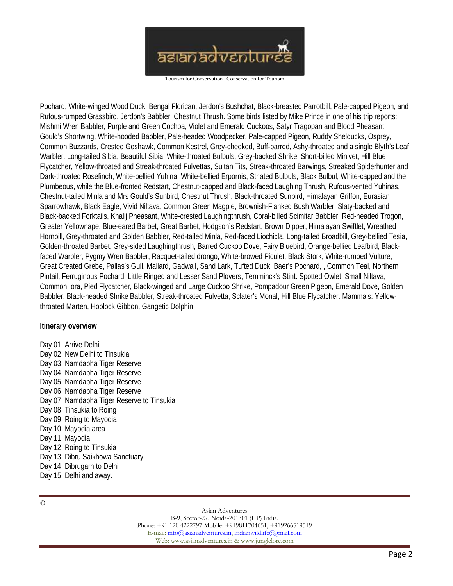

Pochard, White-winged Wood Duck, Bengal Florican, Jerdon's Bushchat, Black-breasted Parrotbill, Pale-capped Pigeon, and Rufous-rumped Grassbird, Jerdon's Babbler, Chestnut Thrush. Some birds listed by Mike Prince in one of his trip reports: Mishmi Wren Babbler, Purple and Green Cochoa, Violet and Emerald Cuckoos, Satyr Tragopan and Blood Pheasant, Gould's Shortwing, White-hooded Babbler, Pale-headed Woodpecker, Pale-capped Pigeon, Ruddy Shelducks, Osprey, Common Buzzards, Crested Goshawk, Common Kestrel, Grey-cheeked, Buff-barred, Ashy-throated and a single Blyth's Leaf Warbler. Long-tailed Sibia, Beautiful Sibia, White-throated Bulbuls, Grey-backed Shrike, Short-billed Minivet, Hill Blue Flycatcher, Yellow-throated and Streak-throated Fulvettas, Sultan Tits, Streak-throated Barwings, Streaked Spiderhunter and Dark-throated Rosefinch, White-bellied Yuhina, White-bellied Erpornis, Striated Bulbuls, Black Bulbul, White-capped and the Plumbeous, while the Blue-fronted Redstart, Chestnut-capped and Black-faced Laughing Thrush, Rufous-vented Yuhinas, Chestnut-tailed Minla and Mrs Gould's Sunbird, Chestnut Thrush, Black-throated Sunbird, Himalayan Griffon, Eurasian Sparrowhawk, Black Eagle, Vivid Niltava, Common Green Magpie, Brownish-Flanked Bush Warbler. Slaty-backed and Black-backed Forktails, Khalij Pheasant, White-crested Laughingthrush, Coral-billed Scimitar Babbler, Red-headed Trogon, Greater Yellownape, Blue-eared Barbet, Great Barbet, Hodgson's Redstart, Brown Dipper, Himalayan Swiftlet, Wreathed Hornbill, Grey-throated and Golden Babbler, Red-tailed Minla, Red-faced Liochicla, Long-tailed Broadbill, Grey-bellied Tesia, Golden-throated Barbet, Grey-sided Laughingthrush, Barred Cuckoo Dove, Fairy Bluebird, Orange-bellied Leafbird, Blackfaced Warbler, Pygmy Wren Babbler, Racquet-tailed drongo, White-browed Piculet, Black Stork, White-rumped Vulture, Great Created Grebe, Pallas's Gull, Mallard, Gadwall, Sand Lark, Tufted Duck, Baer's Pochard, , Common Teal, Northern Pintail, Ferruginous Pochard. Little Ringed and Lesser Sand Plovers, Temminck's Stint. Spotted Owlet. Small Niltava, Common Iora, Pied Flycatcher, Black-winged and Large Cuckoo Shrike, Pompadour Green Pigeon, Emerald Dove, Golden Babbler, Black-headed Shrike Babbler, Streak-throated Fulvetta, Sclater's Monal, Hill Blue Flycatcher. Mammals: Yellowthroated Marten, Hoolock Gibbon, Gangetic Dolphin.

**Itinerary overview**

Day 01: Arrive Delhi Day 02: New Delhi to Tinsukia Day 03: Namdapha Tiger Reserve Day 04: Namdapha Tiger Reserve Day 05: Namdapha Tiger Reserve Day 06: Namdapha Tiger Reserve Day 07: Namdapha Tiger Reserve to Tinsukia Day 08: Tinsukia to Roing Day 09: Roing to Mayodia Day 10: Mayodia area Day 11: Mayodia Day 12: Roing to Tinsukia Day 13: Dibru Saikhowa Sanctuary Day 14: Dibrugarh to Delhi Day 15: Delhi and away.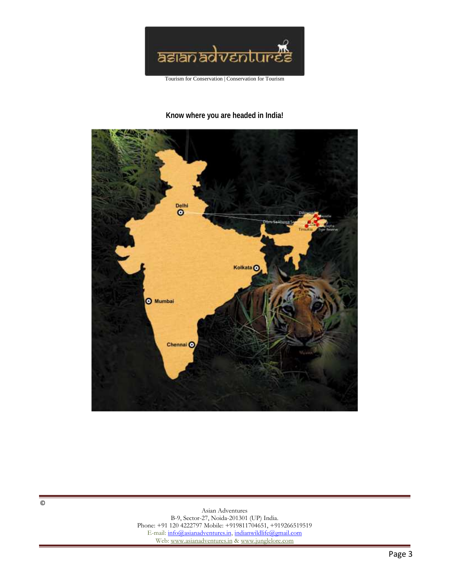

## **Know where you are headed in India!**



 $\overline{\circ}$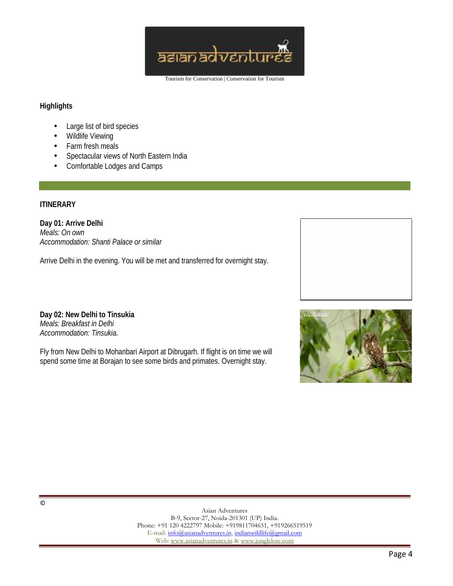

### **Highlights**

- Large list of bird species
- Wildlife Viewing
- Farm fresh meals
- Spectacular views of North Eastern India
- Comfortable Lodges and Camps

### **ITINERARY**

**Day 01: Arrive Delhi** *Meals: On own Accommodation: Shanti Palace or similar*

Arrive Delhi in the evening. You will be met and transferred for overnight stay.

**Day 02: New Delhi to Tinsukia** *Meals: Breakfast in Delhi Accommodation: Tinsukia.*

Fly from New Delhi to Mohanbari Airport at Dibrugarh. If flight is on time we will spend some time at Borajan to see some birds and primates. Overnight stay.



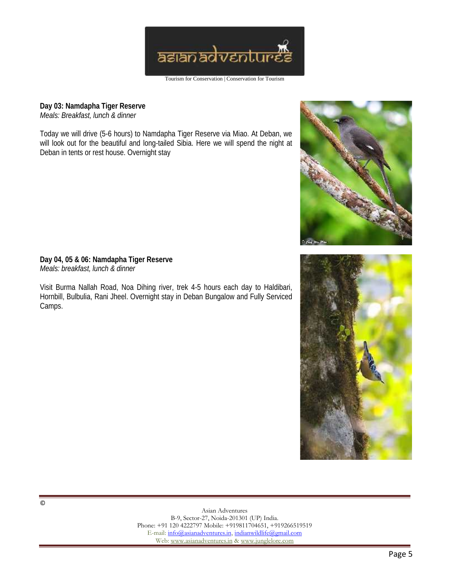

**Day 03: Namdapha Tiger Reserve** *Meals: Breakfast, lunch & dinner*

Today we will drive (5-6 hours) to Namdapha Tiger Reserve via Miao. At Deban, we will look out for the beautiful and long-tailed Sibia. Here we will spend the night at Deban in tents or rest house. Overnight stay



**Day 04, 05 & 06: Namdapha Tiger Reserve** *Meals: breakfast, lunch & dinner*

Visit Burma Nallah Road, Noa Dihing river, trek 4-5 hours each day to Haldibari, Hornbill, Bulbulia, Rani Jheel. Overnight stay in Deban Bungalow and Fully Serviced Camps.

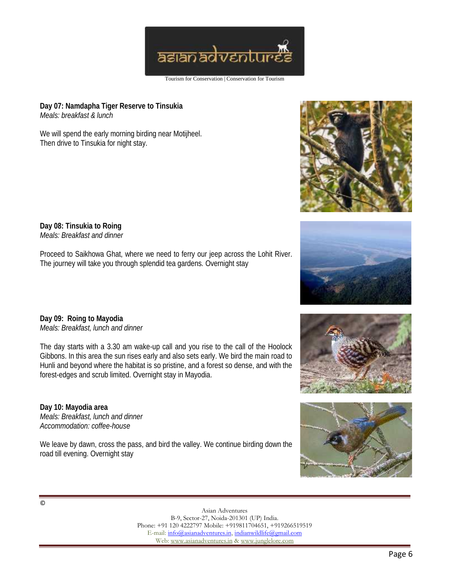

**Day 07: Namdapha Tiger Reserve to Tinsukia** *Meals: breakfast & lunch*

We will spend the early morning birding near Motijheel. Then drive to Tinsukia for night stay.





**Day 08: Tinsukia to Roing** *Meals: Breakfast and dinner*

**Day 09: Roing to Mayodia** *Meals: Breakfast, lunch and dinner*

The day starts with a 3.30 am wake-up call and you rise to the call of the Hoolock Gibbons. In this area the sun rises early and also sets early. We bird the main road to Hunli and beyond where the habitat is so pristine, and a forest so dense, and with the forest-edges and scrub limited. Overnight stay in Mayodia.

Proceed to Saikhowa Ghat, where we need to ferry our jeep across the Lohit River.

The journey will take you through splendid tea gardens. Overnight stay

**Day 10: Mayodia area** *Meals: Breakfast, lunch and dinner Accommodation: coffee-house*

We leave by dawn, cross the pass, and bird the valley. We continue birding down the road till evening. Overnight stay





©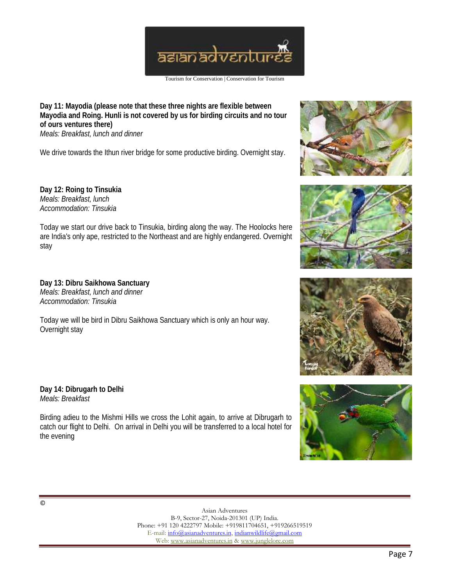

**Day 11: Mayodia (please note that these three nights are flexible between Mayodia and Roing. Hunli is not covered by us for birding circuits and no tour of ours ventures there)** *Meals: Breakfast, lunch and dinner*

We drive towards the Ithun river bridge for some productive birding. Overnight stay.

**Day 12: Roing to Tinsukia** *Meals: Breakfast, lunch Accommodation: Tinsukia*

Today we start our drive back to Tinsukia, birding along the way. The Hoolocks here are India's only ape, restricted to the Northeast and are highly endangered. Overnight stay

**Day 13: Dibru Saikhowa Sanctuary** *Meals: Breakfast, lunch and dinner Accommodation: Tinsukia*

Today we will be bird in Dibru Saikhowa Sanctuary which is only an hour way. Overnight stay

**Day 14: Dibrugarh to Delhi** *Meals: Breakfast*

Birding adieu to the Mishmi Hills we cross the Lohit again, to arrive at Dibrugarh to catch our flight to Delhi. On arrival in Delhi you will be transferred to a local hotel for the evening







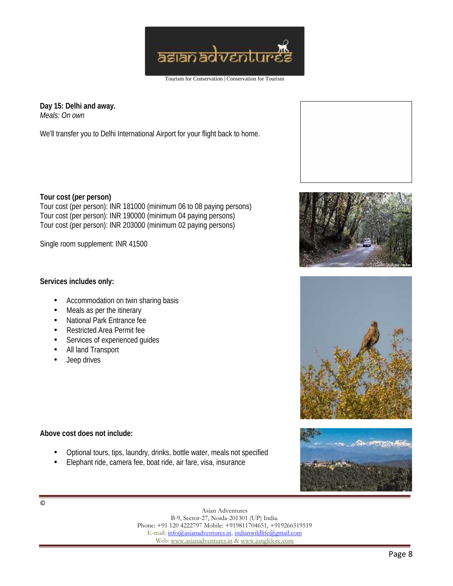

**Day 15: Delhi and away.** *Meals: On own*

We'll transfer you to Delhi International Airport for your flight back to home.

**Tour cost (per person)** Tour cost (per person): INR 181000 (minimum 06 to 08 paying persons) Tour cost (per person): INR 190000 (minimum 04 paying persons) Tour cost (per person): INR 203000 (minimum 02 paying persons)

Single room supplement: INR 41500

**Services includes only:**

- Accommodation on twin sharing basis
- Meals as per the itinerary
- National Park Entrance fee
- Restricted Area Permit fee
- Services of experienced guides
- All land Transport
- Jeep drives

**Above cost does not include:**

- Optional tours, tips, laundry, drinks, bottle water, meals not specified
- Elephant ride, camera fee, boat ride, air fare, visa, insurance